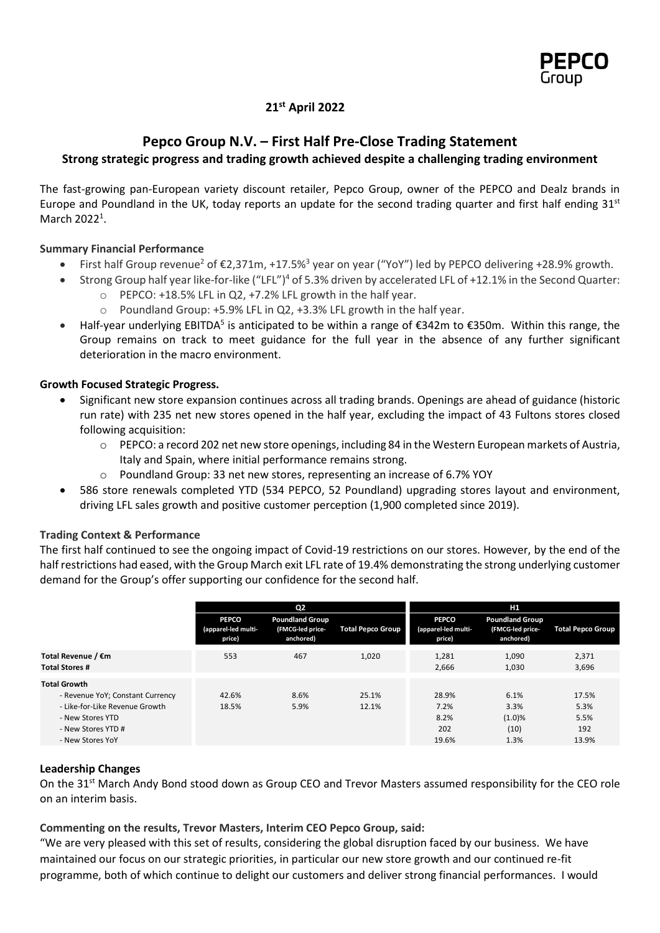

## **21st April 2022**

# **Pepco Group N.V. – First Half Pre-Close Trading Statement Strong strategic progress and trading growth achieved despite a challenging trading environment**

The fast-growing pan-European variety discount retailer, Pepco Group, owner of the PEPCO and Dealz brands in Europe and Poundland in the UK, today reports an update for the second trading quarter and first half ending 31st March 2022<sup>1</sup>.

## **Summary Financial Performance**

- First half Group revenue<sup>2</sup> of  $\epsilon$ 2,371m, +17.5%<sup>3</sup> year on year ("YoY") led by PEPCO delivering +28.9% growth.
- Strong Group half year like-for-like ("LFL")<sup>4</sup> of 5.3% driven by accelerated LFL of +12.1% in the Second Quarter:
	- o PEPCO: +18.5% LFL in Q2, +7.2% LFL growth in the half year.
	- o Poundland Group: +5.9% LFL in Q2, +3.3% LFL growth in the half year.
- Half-year underlying EBITDA<sup>5</sup> is anticipated to be within a range of €342m to €350m. Within this range, the Group remains on track to meet guidance for the full year in the absence of any further significant deterioration in the macro environment.

### **Growth Focused Strategic Progress.**

- Significant new store expansion continues across all trading brands. Openings are ahead of guidance (historic run rate) with 235 net new stores opened in the half year, excluding the impact of 43 Fultons stores closed following acquisition:
	- $\circ$  PEPCO: a record 202 net new store openings, including 84 in the Western European markets of Austria, Italy and Spain, where initial performance remains strong.
	- o Poundland Group: 33 net new stores, representing an increase of 6.7% YOY
- 586 store renewals completed YTD (534 PEPCO, 52 Poundland) upgrading stores layout and environment, driving LFL sales growth and positive customer perception (1,900 completed since 2019).

### **Trading Context & Performance**

The first half continued to see the ongoing impact of Covid-19 restrictions on our stores. However, by the end of the half restrictions had eased, with the Group March exit LFL rate of 19.4% demonstrating the strong underlying customer demand for the Group's offer supporting our confidence for the second half.

|                                                                                                                                                         | Q <sub>2</sub>                                |                                                         |                          | H1                                            |                                                         |                                       |
|---------------------------------------------------------------------------------------------------------------------------------------------------------|-----------------------------------------------|---------------------------------------------------------|--------------------------|-----------------------------------------------|---------------------------------------------------------|---------------------------------------|
|                                                                                                                                                         | <b>PEPCO</b><br>(apparel-led multi-<br>price) | <b>Poundland Group</b><br>(FMCG-led price-<br>anchored) | <b>Total Pepco Group</b> | <b>PEPCO</b><br>(apparel-led multi-<br>price) | <b>Poundland Group</b><br>(FMCG-led price-<br>anchored) | <b>Total Pepco Group</b>              |
| Total Revenue / €m<br><b>Total Stores #</b>                                                                                                             | 553                                           | 467                                                     | 1,020                    | 1,281<br>2.666                                | 1,090<br>1,030                                          | 2,371<br>3,696                        |
| <b>Total Growth</b><br>- Revenue YoY; Constant Currency<br>- Like-for-Like Revenue Growth<br>- New Stores YTD<br>- New Stores YTD #<br>- New Stores YoY | 42.6%<br>18.5%                                | 8.6%<br>5.9%                                            | 25.1%<br>12.1%           | 28.9%<br>7.2%<br>8.2%<br>202<br>19.6%         | 6.1%<br>3.3%<br>(1.0)%<br>(10)<br>1.3%                  | 17.5%<br>5.3%<br>5.5%<br>192<br>13.9% |

### **Leadership Changes**

On the 31<sup>st</sup> March Andy Bond stood down as Group CEO and Trevor Masters assumed responsibility for the CEO role on an interim basis.

### **Commenting on the results, Trevor Masters, Interim CEO Pepco Group, said:**

"We are very pleased with this set of results, considering the global disruption faced by our business. We have maintained our focus on our strategic priorities, in particular our new store growth and our continued re-fit programme, both of which continue to delight our customers and deliver strong financial performances. I would